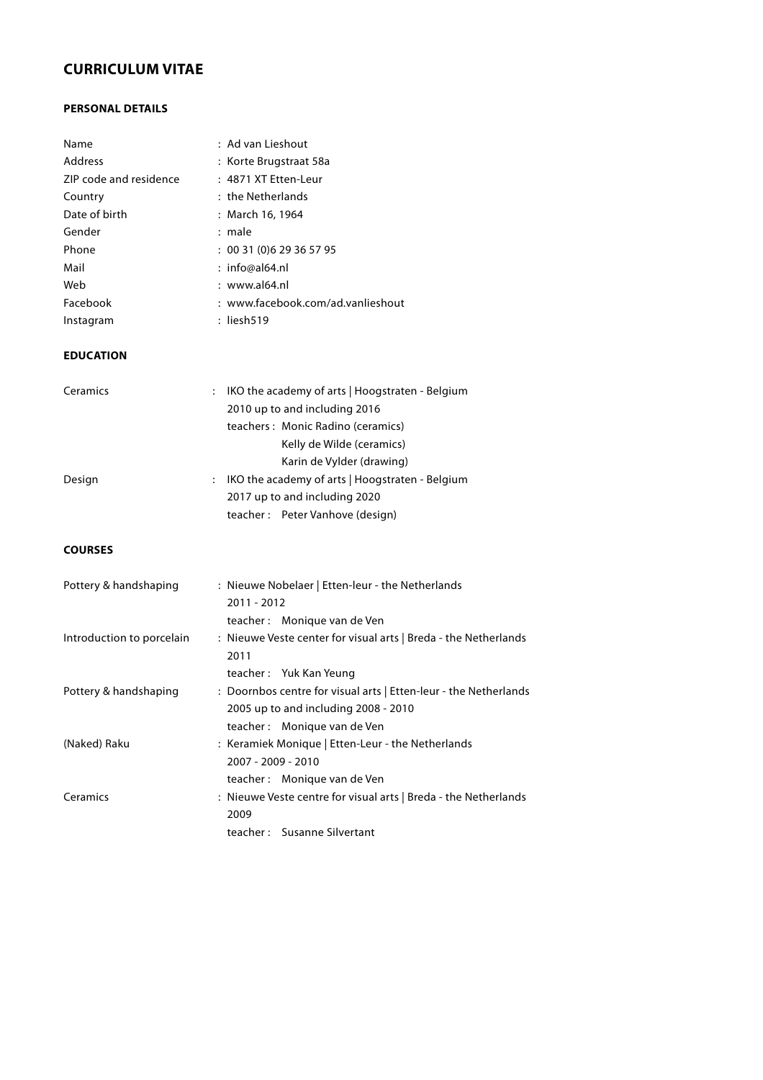# **CURRICULUM VITAE**

## **PERSONAL DETAILS**

| Name                   | : Ad van Lieshout                 |
|------------------------|-----------------------------------|
| Address                | : Korte Brugstraat 58a            |
| ZIP code and residence | : 4871 XT Etten-Leur              |
| Country                | : the Netherlands                 |
| Date of birth          | : March 16, 1964                  |
| Gender                 | : male                            |
| Phone                  | : 0031(0)629365795                |
| Mail                   | : info@al64.nl                    |
| Web                    | $:$ www.al64.nl                   |
| Facebook               | : www.facebook.com/ad.vanlieshout |
| Instagram              | : liesh519                        |

#### **EDUCATION**

| Ceramics<br>$\mathbb{R}^{\mathbb{Z}}$ | IKO the academy of arts   Hoogstraten - Belgium              |
|---------------------------------------|--------------------------------------------------------------|
|                                       | 2010 up to and including 2016                                |
|                                       | teachers: Monic Radino (ceramics)                            |
|                                       | Kelly de Wilde (ceramics)                                    |
|                                       | Karin de Vylder (drawing)                                    |
| Design                                | $\therefore$ IKO the academy of arts   Hoogstraten - Belgium |
|                                       | 2017 up to and including 2020                                |
|                                       | teacher: Peter Vanhove (design)                              |

# **COURSES**

| Pottery & handshaping     | : Nieuwe Nobelaer   Etten-leur - the Netherlands                 |
|---------------------------|------------------------------------------------------------------|
|                           | 2011 - 2012                                                      |
|                           | teacher: Monique van de Ven                                      |
| Introduction to porcelain | : Nieuwe Veste center for visual arts   Breda - the Netherlands  |
|                           | 2011                                                             |
|                           | teacher: Yuk Kan Yeung                                           |
| Pottery & handshaping     | : Doornbos centre for visual arts   Etten-leur - the Netherlands |
|                           | 2005 up to and including 2008 - 2010                             |
|                           | teacher: Monique van de Ven                                      |
| (Naked) Raku              | : Keramiek Monique   Etten-Leur - the Netherlands                |
|                           | 2007 - 2009 - 2010                                               |
|                           | teacher: Monique van de Ven                                      |
| Ceramics                  | : Nieuwe Veste centre for visual arts   Breda - the Netherlands  |
|                           | 2009                                                             |
|                           | teacher: Susanne Silvertant                                      |